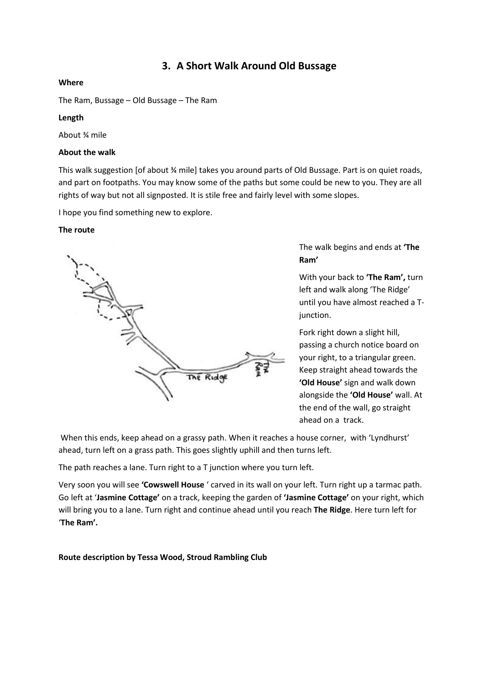# **3. A Short Walk Around Old Bussage**

# **Where**

The Ram, Bussage – Old Bussage – The Ram

# **Length**

About ¾ mile

### **About the walk**

This walk suggestion [of about ¾ mile] takes you around parts of Old Bussage. Part is on quiet roads, and part on footpaths. You may know some of the paths but some could be new to you. They are all rights of way but not all signposted. It is stile free and fairly level with some slopes.

I hope you find something new to explore.

### **The route**



The walk begins and ends at **'The Ram'**

With your back to **'The Ram',** turn left and walk along 'The Ridge' until you have almost reached a Tjunction.

Fork right down a slight hill, passing a church notice board on your right, to a triangular green. Keep straight ahead towards the **'Old House'** sign and walk down alongside the **'Old House'** wall. At the end of the wall, go straight ahead on a track.

When this ends, keep ahead on a grassy path. When it reaches a house corner, with 'Lyndhurst' ahead, turn left on a grass path. This goes slightly uphill and then turns left.

The path reaches a lane. Turn right to a T junction where you turn left.

Very soon you will see **'Cowswell House** ' carved in its wall on your left. Turn right up a tarmac path. Go left at '**Jasmine Cottage'** on a track, keeping the garden of **'Jasmine Cottage'** on your right, which will bring you to a lane. Turn right and continue ahead until you reach **The Ridge**. Here turn left for '**The Ram'.**

**Route description by Tessa Wood, Stroud Rambling Club**